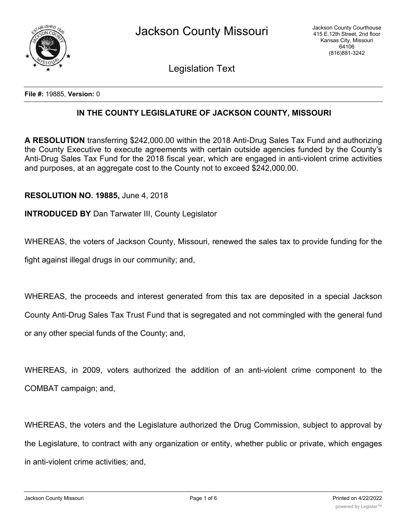

Legislation Text

**File #:** 19885, **Version:** 0

## **IN THE COUNTY LEGISLATURE OF JACKSON COUNTY, MISSOURI**

**A RESOLUTION** transferring \$242,000.00 within the 2018 Anti-Drug Sales Tax Fund and authorizing the County Executive to execute agreements with certain outside agencies funded by the County's Anti-Drug Sales Tax Fund for the 2018 fiscal year, which are engaged in anti-violent crime activities and purposes, at an aggregate cost to the County not to exceed \$242,000.00.

## **RESOLUTION NO. 19885,** June 4, 2018

## **INTRODUCED BY** Dan Tarwater III, County Legislator

WHEREAS, the voters of Jackson County, Missouri, renewed the sales tax to provide funding for the

fight against illegal drugs in our community; and,

WHEREAS, the proceeds and interest generated from this tax are deposited in a special Jackson County Anti-Drug Sales Tax Trust Fund that is segregated and not commingled with the general fund or any other special funds of the County; and,

WHEREAS, in 2009, voters authorized the addition of an anti-violent crime component to the COMBAT campaign; and,

WHEREAS, the voters and the Legislature authorized the Drug Commission, subject to approval by the Legislature, to contract with any organization or entity, whether public or private, which engages in anti-violent crime activities; and,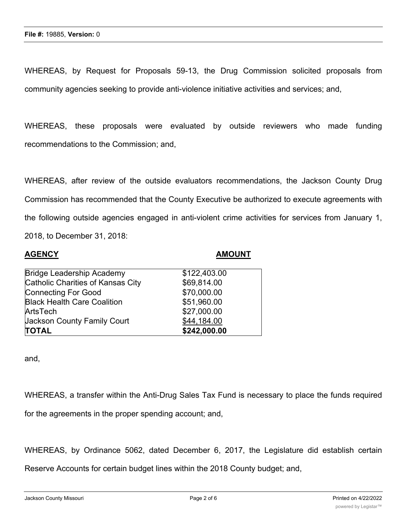WHEREAS, by Request for Proposals 59-13, the Drug Commission solicited proposals from community agencies seeking to provide anti-violence initiative activities and services; and,

WHEREAS, these proposals were evaluated by outside reviewers who made funding recommendations to the Commission; and,

WHEREAS, after review of the outside evaluators recommendations, the Jackson County Drug Commission has recommended that the County Executive be authorized to execute agreements with the following outside agencies engaged in anti-violent crime activities for services from January 1, 2018, to December 31, 2018:

| <b>AGENCY</b>                             |  |  |
|-------------------------------------------|--|--|
| <b>Bridge Leadership Academy</b>          |  |  |
| $\sim$ $\sim$ $\sim$ $\sim$ $\sim$ $\sim$ |  |  |

## **AGENCY AMOUNT**

| <b>Jackson County Family Court</b><br><b>TOTAL</b> | \$44,184.00<br>\$242,000.00 |
|----------------------------------------------------|-----------------------------|
| ArtsTech                                           | \$27,000.00                 |
| <b>Black Health Care Coalition</b>                 | \$51,960.00                 |
| <b>Connecting For Good</b>                         | \$70,000.00                 |
| Catholic Charities of Kansas City                  | \$69,814.00                 |
| <b>Bridge Leadership Academy</b>                   | \$122,403.00                |

and,

WHEREAS, a transfer within the Anti-Drug Sales Tax Fund is necessary to place the funds required

for the agreements in the proper spending account; and,

WHEREAS, by Ordinance 5062, dated December 6, 2017, the Legislature did establish certain

Reserve Accounts for certain budget lines within the 2018 County budget; and,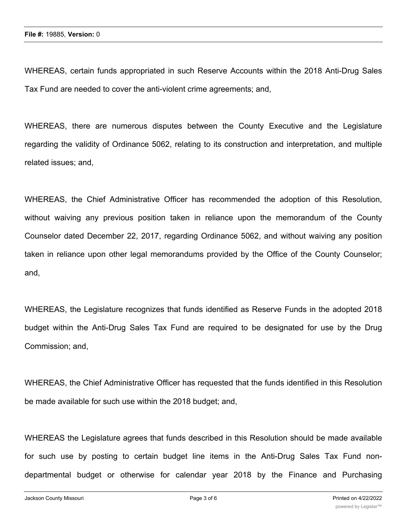WHEREAS, certain funds appropriated in such Reserve Accounts within the 2018 Anti-Drug Sales Tax Fund are needed to cover the anti-violent crime agreements; and,

WHEREAS, there are numerous disputes between the County Executive and the Legislature regarding the validity of Ordinance 5062, relating to its construction and interpretation, and multiple related issues; and,

WHEREAS, the Chief Administrative Officer has recommended the adoption of this Resolution, without waiving any previous position taken in reliance upon the memorandum of the County Counselor dated December 22, 2017, regarding Ordinance 5062, and without waiving any position taken in reliance upon other legal memorandums provided by the Office of the County Counselor; and,

WHEREAS, the Legislature recognizes that funds identified as Reserve Funds in the adopted 2018 budget within the Anti-Drug Sales Tax Fund are required to be designated for use by the Drug Commission; and,

WHEREAS, the Chief Administrative Officer has requested that the funds identified in this Resolution be made available for such use within the 2018 budget; and,

WHEREAS the Legislature agrees that funds described in this Resolution should be made available for such use by posting to certain budget line items in the Anti-Drug Sales Tax Fund nondepartmental budget or otherwise for calendar year 2018 by the Finance and Purchasing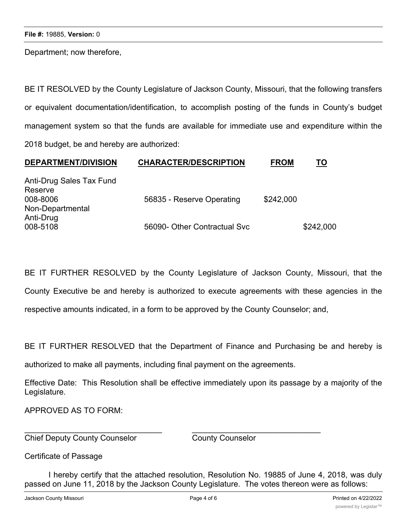Department; now therefore,

BE IT RESOLVED by the County Legislature of Jackson County, Missouri, that the following transfers or equivalent documentation/identification, to accomplish posting of the funds in County's budget management system so that the funds are available for immediate use and expenditure within the 2018 budget, be and hereby are authorized:

| <b>DEPARTMENT/DIVISION</b> | <b>CHARACTER/DESCRIPTION</b> | <b>FROM</b> | TO        |
|----------------------------|------------------------------|-------------|-----------|
| Anti-Drug Sales Tax Fund   |                              |             |           |
| Reserve                    |                              |             |           |
| 008-8006                   | 56835 - Reserve Operating    | \$242,000   |           |
| Non-Departmental           |                              |             |           |
| Anti-Drug                  |                              |             |           |
| 008-5108                   | 56090- Other Contractual Svc |             | \$242,000 |

BE IT FURTHER RESOLVED by the County Legislature of Jackson County, Missouri, that the County Executive be and hereby is authorized to execute agreements with these agencies in the respective amounts indicated, in a form to be approved by the County Counselor; and,

BE IT FURTHER RESOLVED that the Department of Finance and Purchasing be and hereby is

authorized to make all payments, including final payment on the agreements.

 $\overline{\phantom{a}}$  , and the contribution of the contribution of the contribution of the contribution of the contribution of the contribution of the contribution of the contribution of the contribution of the contribution of the

Effective Date: This Resolution shall be effective immediately upon its passage by a majority of the Legislature.

APPROVED AS TO FORM:

Chief Deputy County Counselor County Counselor

Certificate of Passage

I hereby certify that the attached resolution, Resolution No. 19885 of June 4, 2018, was duly passed on June 11, 2018 by the Jackson County Legislature. The votes thereon were as follows: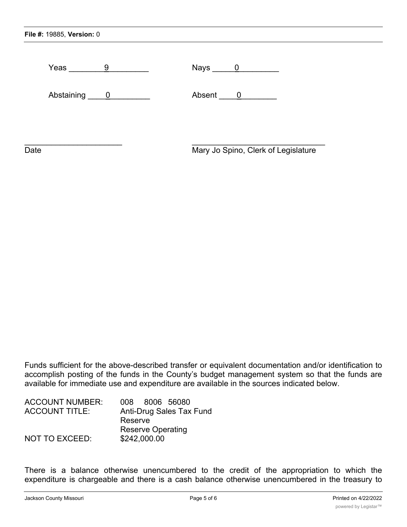| Yeas<br>9                             | Nays _____                          |
|---------------------------------------|-------------------------------------|
| Abstaining<br>$\overline{\mathbf{0}}$ | Absent<br>$\overline{\phantom{0}}$  |
|                                       |                                     |
| Date                                  | Mary Jo Spino, Clerk of Legislature |

Funds sufficient for the above-described transfer or equivalent documentation and/or identification to accomplish posting of the funds in the County's budget management system so that the funds are available for immediate use and expenditure are available in the sources indicated below.

| <b>ACCOUNT NUMBER:</b> | 008 8006 56080           |
|------------------------|--------------------------|
| <b>ACCOUNT TITLE:</b>  | Anti-Drug Sales Tax Fund |
|                        | Reserve                  |
|                        | <b>Reserve Operating</b> |
| NOT TO EXCEED:         | \$242,000.00             |

There is a balance otherwise unencumbered to the credit of the appropriation to which the expenditure is chargeable and there is a cash balance otherwise unencumbered in the treasury to